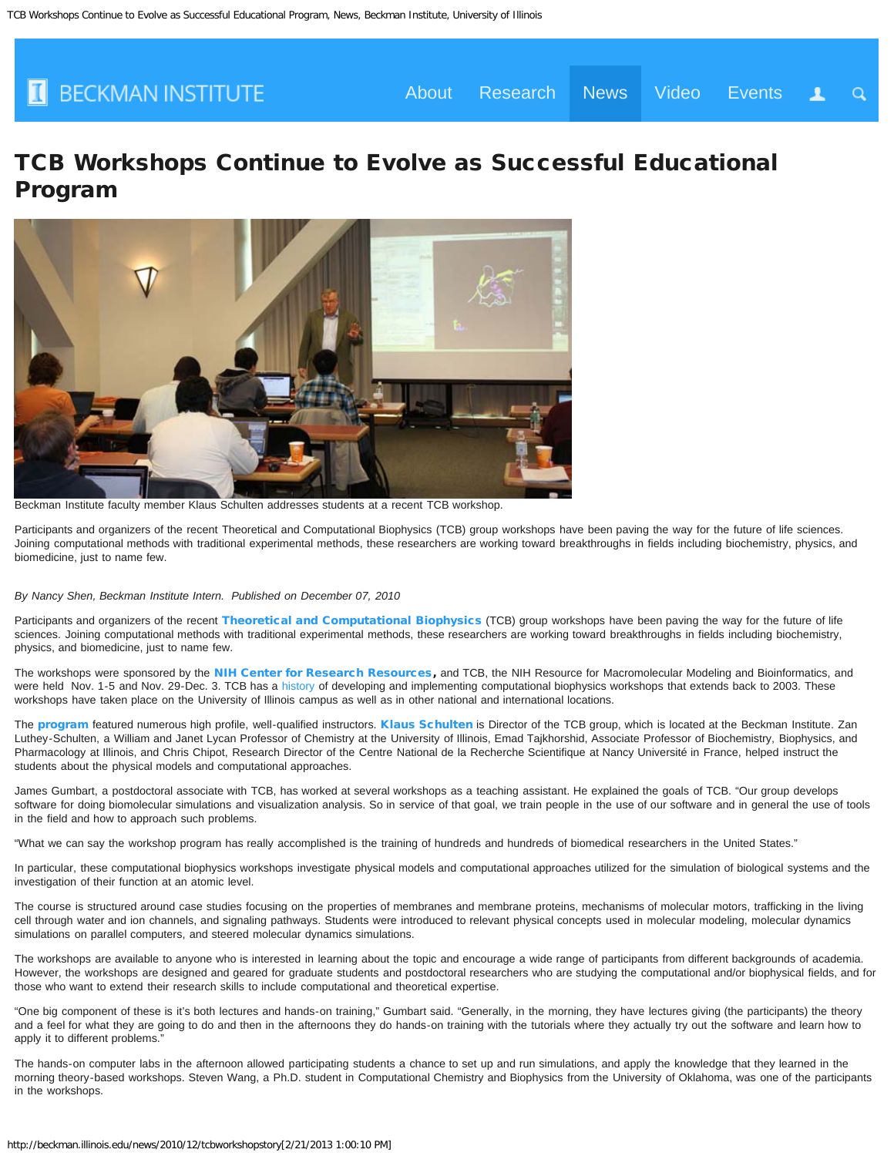

 $\Omega$ 

# TCB Workshops Continue to Evolve as Successful Educational Program



Beckman Institute faculty member Klaus Schulten addresses students at a recent TCB workshop.

Participants and organizers of the recent Theoretical and Computational Biophysics (TCB) group workshops have been paving the way for the future of life sciences. Joining computational methods with traditional experimental methods, these researchers are working toward breakthroughs in fields including biochemistry, physics, and biomedicine, just to name few.

#### *By Nancy Shen, Beckman Institute Intern. Published on December 07, 2010*

Participants and organizers of the recent [Theoretical and Computational Biophysics](http://www.ks.uiuc.edu/) (TCB) group workshops have been paving the way for the future of life sciences. Joining computational methods with traditional experimental methods, these researchers are working toward breakthroughs in fields including biochemistry, physics, and biomedicine, just to name few.

The workshops were sponsored by the [NIH Center for Research Resources,](http://www.ncrr.nih.gov/) and TCB, the NIH Resource for Macromolecular Modeling and Bioinformatics, and were held Nov. 1-5 and Nov. 29-Dec. 3. TCB has a [history](http://www.ks.uiuc.edu/Training/) of developing and implementing computational biophysics workshops that extends back to 2003. These workshops have taken place on the University of Illinois campus as well as in other national and international locations.

The [program](http://www.ks.uiuc.edu/Training/Workshop/Urbana_2010/program.html) featured numerous high profile, well-qualified instructors. [Klaus Schulten](http://www.beckman.illinois.edu/directory/schulten) is Director of the TCB group, which is located at the Beckman Institute. Zan Luthey-Schulten, a William and Janet Lycan Professor of Chemistry at the University of Illinois, Emad Tajkhorshid, Associate Professor of Biochemistry, Biophysics, and Pharmacology at Illinois, and Chris Chipot, Research Director of the Centre National de la Recherche Scientifique at Nancy Université in France, helped instruct the students about the physical models and computational approaches.

James Gumbart, a postdoctoral associate with TCB, has worked at several workshops as a teaching assistant. He explained the goals of TCB. "Our group develops software for doing biomolecular simulations and visualization analysis. So in service of that goal, we train people in the use of our software and in general the use of tools in the field and how to approach such problems.

"What we can say the workshop program has really accomplished is the training of hundreds and hundreds of biomedical researchers in the United States."

In particular, these computational biophysics workshops investigate physical models and computational approaches utilized for the simulation of biological systems and the investigation of their function at an atomic level.

The course is structured around case studies focusing on the properties of membranes and membrane proteins, mechanisms of molecular motors, trafficking in the living cell through water and ion channels, and signaling pathways. Students were introduced to relevant physical concepts used in molecular modeling, molecular dynamics simulations on parallel computers, and steered molecular dynamics simulations.

The workshops are available to anyone who is interested in learning about the topic and encourage a wide range of participants from different backgrounds of academia. However, the workshops are designed and geared for graduate students and postdoctoral researchers who are studying the computational and/or biophysical fields, and for those who want to extend their research skills to include computational and theoretical expertise.

"One big component of these is it's both lectures and hands-on training," Gumbart said. "Generally, in the morning, they have lectures giving (the participants) the theory and a feel for what they are going to do and then in the afternoons they do hands-on training with the tutorials where they actually try out the software and learn how to apply it to different problems."

The hands-on computer labs in the afternoon allowed participating students a chance to set up and run simulations, and apply the knowledge that they learned in the morning theory-based workshops. Steven Wang, a Ph.D. student in Computational Chemistry and Biophysics from the University of Oklahoma, was one of the participants in the workshops.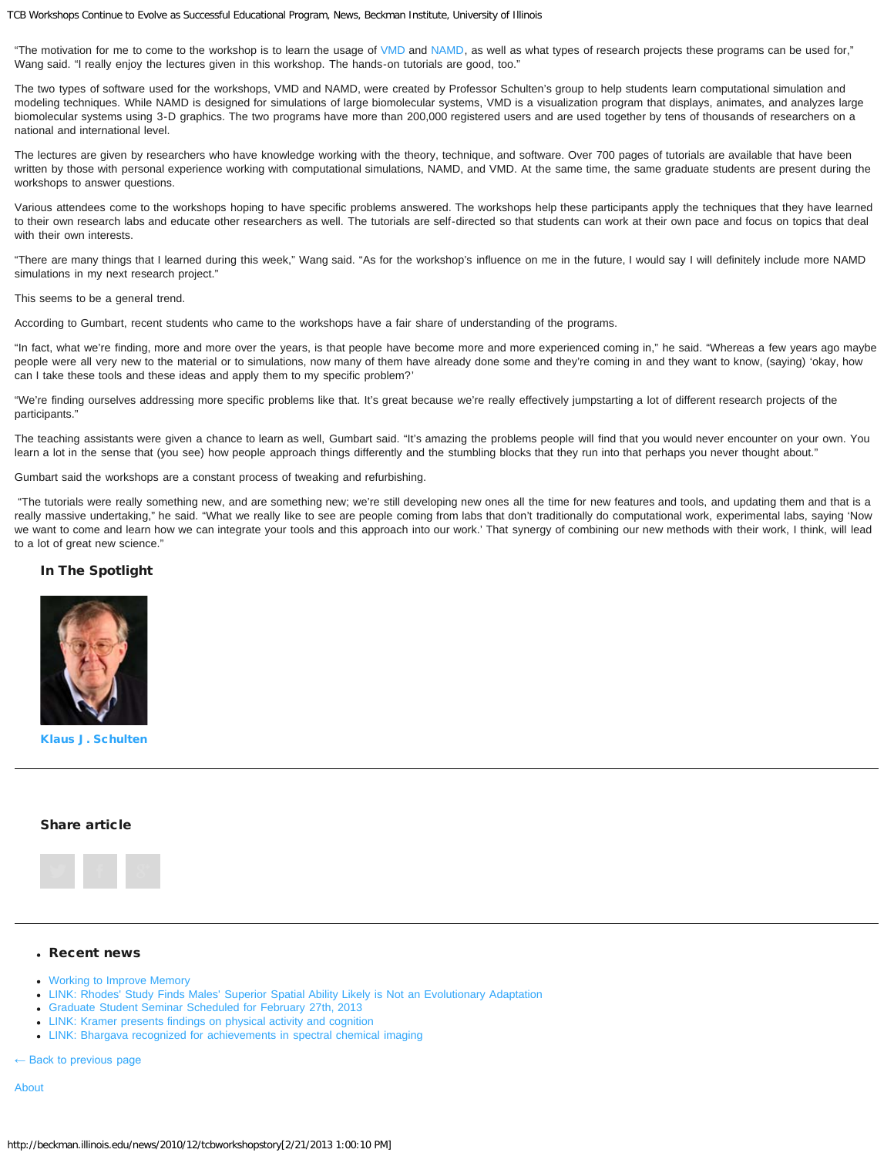TCB Workshops Continue to Evolve as Successful Educational Program, News, Beckman Institute, University of Illinois

"The motivation for me to come to the workshop is to learn the usage of [VMD](http://www.ks.uiuc.edu/Research/vmd/) and [NAMD](http://www.ks.uiuc.edu/Research/namd/), as well as what types of research projects these programs can be used for," Wang said. "I really enjoy the lectures given in this workshop. The hands-on tutorials are good, too."

The two types of software used for the workshops, VMD and NAMD, were created by Professor Schulten's group to help students learn computational simulation and modeling techniques. While NAMD is designed for simulations of large biomolecular systems, VMD is a visualization program that displays, animates, and analyzes large biomolecular systems using 3-D graphics. The two programs have more than 200,000 registered users and are used together by tens of thousands of researchers on a national and international level.

The lectures are given by researchers who have knowledge working with the theory, technique, and software. Over 700 pages of tutorials are available that have been written by those with personal experience working with computational simulations, NAMD, and VMD. At the same time, the same graduate students are present during the workshops to answer questions.

Various attendees come to the workshops hoping to have specific problems answered. The workshops help these participants apply the techniques that they have learned to their own research labs and educate other researchers as well. The tutorials are self-directed so that students can work at their own pace and focus on topics that deal with their own interests.

"There are many things that I learned during this week," Wang said. "As for the workshop's influence on me in the future, I would say I will definitely include more NAMD simulations in my next research project."

#### This seems to be a general trend.

According to Gumbart, recent students who came to the workshops have a fair share of understanding of the programs.

"In fact, what we're finding, more and more over the years, is that people have become more and more experienced coming in," he said. "Whereas a few years ago maybe people were all very new to the material or to simulations, now many of them have already done some and they're coming in and they want to know, (saying) 'okay, how can I take these tools and these ideas and apply them to my specific problem?'

"We're finding ourselves addressing more specific problems like that. It's great because we're really effectively jumpstarting a lot of different research projects of the participants."

The teaching assistants were given a chance to learn as well, Gumbart said. "It's amazing the problems people will find that you would never encounter on your own. You learn a lot in the sense that (you see) how people approach things differently and the stumbling blocks that they run into that perhaps you never thought about."

Gumbart said the workshops are a constant process of tweaking and refurbishing.

"The tutorials were really something new, and are something new; we're still developing new ones all the time for new features and tools, and updating them and that is a really massive undertaking," he said. "What we really like to see are people coming from labs that don't traditionally do computational work, experimental labs, saying 'Now we want to come and learn how we can integrate your tools and this approach into our work.' That synergy of combining our new methods with their work, I think, will lead to a lot of great new science."

## In The Spotlight



[Klaus J. Schulten](http://beckman.illinois.edu/directory/person/schulten)

## Share article



#### Recent news

- [Working to Improve Memory](http://beckman.illinois.edu/news/2013/02/benjaminfacultyprofile)
- [LINK: Rhodes' Study Finds Males' Superior Spatial Ability Likely is Not an Evolutionary Adaptation](http://news.illinois.edu/news/13/0219spatial_ability_JustinRhodes.html)
- [Graduate Student Seminar Scheduled for February 27th, 2013](http://beckman.illinois.edu/news/2013/02/grad-student-seminars-feb-2013)
- [LINK: Kramer presents findings on physical activity and cognition](http://news.illinois.edu/news/13/0218activity_cognition_ArtKramer.html)
- [LINK: Bhargava recognized for achievements in spectral chemical imaging](http://engineering.illinois.edu/news/2013/02/08/bhargava-recognized-achievements-spectral-chemical-imaging)

← Back to previous page

[About](http://beckman.illinois.edu/about)